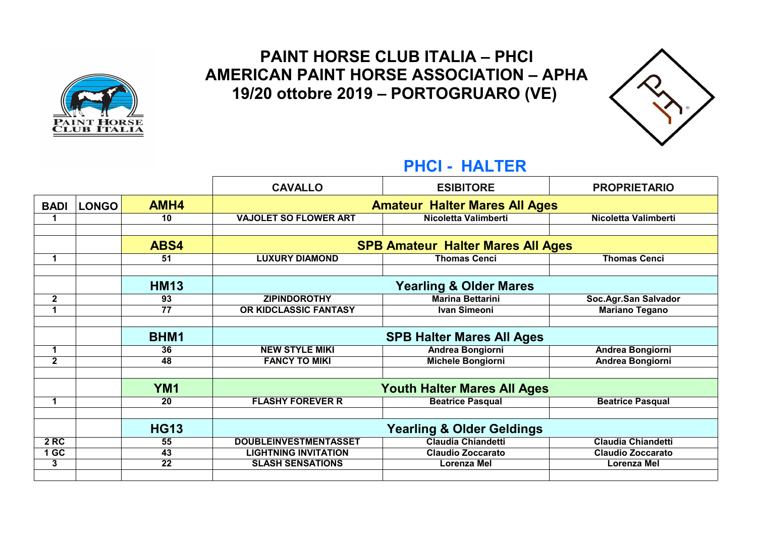

### **PAINT HORSE CLUB ITALIA – PHCI AMERICAN PAINT HORSE ASSOCIATION – APHA 19/20 ottobre 2019 – PORTOGRUARO (VE)**



#### **PHCI - HALTER**

|                             |                 | <b>CAVALLO</b>                       | <b>ESIBITORE</b>                         | <b>PROPRIETARIO</b>       |
|-----------------------------|-----------------|--------------------------------------|------------------------------------------|---------------------------|
| <b>LONGO</b><br><b>BADI</b> | AMH4            | <b>Amateur Halter Mares All Ages</b> |                                          |                           |
| 1                           | 10              | <b>VAJOLET SO FLOWER ART</b>         | Nicoletta Valimberti                     | Nicoletta Valimberti      |
|                             |                 |                                      |                                          |                           |
|                             | ABS4            |                                      | <b>SPB Amateur Halter Mares All Ages</b> |                           |
| $\mathbf 1$                 | 51              | <b>LUXURY DIAMOND</b>                | <b>Thomas Cenci</b>                      | <b>Thomas Cenci</b>       |
|                             |                 |                                      |                                          |                           |
|                             | <b>HM13</b>     |                                      | <b>Yearling &amp; Older Mares</b>        |                           |
| $\mathbf{2}$                | 93              | <b>ZIPINDOROTHY</b>                  | <b>Marina Bettarini</b>                  | Soc.Agr.San Salvador      |
| 1                           | 77              | OR KIDCLASSIC FANTASY                | <b>Ivan Simeoni</b>                      | <b>Mariano Tegano</b>     |
|                             |                 |                                      |                                          |                           |
|                             | BHM1            |                                      | <b>SPB Halter Mares All Ages</b>         |                           |
|                             | 36              | <b>NEW STYLE MIKI</b>                | <b>Andrea Bongiorni</b>                  | <b>Andrea Bongiorni</b>   |
| $\mathbf 1$                 |                 |                                      |                                          |                           |
| $\mathbf{2}$                | 48              | <b>FANCY TO MIKI</b>                 | <b>Michele Bongiorni</b>                 | <b>Andrea Bongiorni</b>   |
|                             |                 |                                      |                                          |                           |
|                             | YM <sub>1</sub> |                                      | <b>Youth Halter Mares All Ages</b>       |                           |
| 1                           | 20              | <b>FLASHY FOREVER R</b>              | <b>Beatrice Pasqual</b>                  | <b>Beatrice Pasqual</b>   |
|                             |                 |                                      |                                          |                           |
|                             | <b>HG13</b>     |                                      | <b>Yearling &amp; Older Geldings</b>     |                           |
| <b>2 RC</b>                 | 55              | <b>DOUBLEINVESTMENTASSET</b>         | <b>Claudia Chiandetti</b>                | <b>Claudia Chiandetti</b> |
| 1 <sub>GC</sub>             | 43              | <b>LIGHTNING INVITATION</b>          | <b>Claudio Zoccarato</b>                 | Claudio Zoccarato         |
| 3                           | 22              | <b>SLASH SENSATIONS</b>              | Lorenza Mel                              | Lorenza Mel               |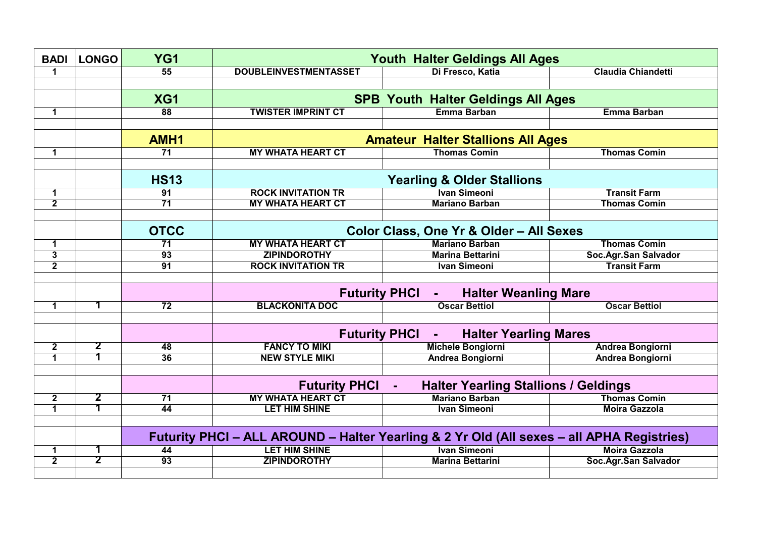| <b>BADI</b>    | <b>LONGO</b>            | YG <sub>1</sub>  | <b>Youth Halter Geldings All Ages</b>                                                     |                                                                       |                           |
|----------------|-------------------------|------------------|-------------------------------------------------------------------------------------------|-----------------------------------------------------------------------|---------------------------|
| 1              |                         | $\overline{55}$  | <b>DOUBLEINVESTMENTASSET</b>                                                              | Di Fresco, Katia                                                      | <b>Claudia Chiandetti</b> |
|                |                         |                  |                                                                                           |                                                                       |                           |
|                |                         | XG1              |                                                                                           | <b>SPB Youth Halter Geldings All Ages</b>                             |                           |
| 1              |                         | 88               | <b>TWISTER IMPRINT CT</b>                                                                 | Emma Barban                                                           | <b>Emma Barban</b>        |
|                |                         |                  |                                                                                           |                                                                       |                           |
|                |                         | AMH <sub>1</sub> |                                                                                           | <b>Amateur Halter Stallions All Ages</b>                              |                           |
| 1              |                         | 71               | <b>MY WHATA HEART CT</b>                                                                  | <b>Thomas Comin</b>                                                   | <b>Thomas Comin</b>       |
|                |                         |                  |                                                                                           |                                                                       |                           |
|                |                         | <b>HS13</b>      |                                                                                           | <b>Yearling &amp; Older Stallions</b>                                 |                           |
| $\mathbf{1}$   |                         | $\overline{91}$  | <b>ROCK INVITATION TR</b>                                                                 | <b>Ivan Simeoni</b>                                                   | <b>Transit Farm</b>       |
| $\mathbf 2$    |                         | $\overline{71}$  | <b>MY WHATA HEART CT</b>                                                                  | <b>Mariano Barban</b>                                                 | <b>Thomas Comin</b>       |
|                |                         |                  |                                                                                           |                                                                       |                           |
|                |                         | <b>OTCC</b>      |                                                                                           | Color Class, One Yr & Older - All Sexes                               |                           |
| 1              |                         | 71               | <b>MY WHATA HEART CT</b>                                                                  | <b>Mariano Barban</b>                                                 | <b>Thomas Comin</b>       |
| $\overline{3}$ |                         | 93               | <b>ZIPINDOROTHY</b>                                                                       | <b>Marina Bettarini</b>                                               | Soc.Agr.San Salvador      |
| $\overline{2}$ |                         | $\overline{91}$  | <b>ROCK INVITATION TR</b>                                                                 | <b>Ivan Simeoni</b>                                                   | <b>Transit Farm</b>       |
|                |                         |                  |                                                                                           |                                                                       |                           |
|                |                         |                  |                                                                                           | <b>Futurity PHCI</b><br><b>Halter Weanling Mare</b><br>$\blacksquare$ |                           |
| $\mathbf 1$    | 1                       | $\overline{72}$  | <b>BLACKONITA DOC</b>                                                                     | <b>Oscar Bettiol</b>                                                  | <b>Oscar Bettiol</b>      |
|                |                         |                  |                                                                                           |                                                                       |                           |
|                |                         |                  | <b>Futurity PHCI</b>                                                                      | <b>Halter Yearling Mares</b>                                          |                           |
| $\mathbf{2}$   | $\overline{\mathbf{2}}$ | $\overline{48}$  | <b>FANCY TO MIKI</b>                                                                      | <b>Michele Bongiorni</b>                                              | <b>Andrea Bongiorni</b>   |
| $\overline{1}$ | $\overline{\mathbf{1}}$ | 36               | <b>NEW STYLE MIKI</b>                                                                     | <b>Andrea Bongiorni</b>                                               | <b>Andrea Bongiorni</b>   |
|                |                         |                  |                                                                                           |                                                                       |                           |
|                |                         |                  | <b>Futurity PHCI</b>                                                                      | <b>Halter Yearling Stallions / Geldings</b>                           |                           |
| $\mathbf{2}$   | $\overline{\mathbf{2}}$ | 71               | <b>MY WHATA HEART CT</b>                                                                  | <b>Mariano Barban</b>                                                 | <b>Thomas Comin</b>       |
| 1              | $\overline{\mathbf{1}}$ | 44               | <b>LET HIM SHINE</b>                                                                      | Ivan Simeoni                                                          | <b>Moira Gazzola</b>      |
|                |                         |                  |                                                                                           |                                                                       |                           |
|                |                         |                  | Futurity PHCI - ALL AROUND - Halter Yearling & 2 Yr Old (All sexes - all APHA Registries) |                                                                       |                           |
| 1              | 1                       | 44               | <b>LET HIM SHINE</b>                                                                      | <b>Ivan Simeoni</b>                                                   | <b>Moira Gazzola</b>      |
| $\overline{2}$ | $\overline{2}$          | $\overline{93}$  | <b>ZIPINDOROTHY</b>                                                                       | <b>Marina Bettarini</b>                                               | Soc.Agr.San Salvador      |
|                |                         |                  |                                                                                           |                                                                       |                           |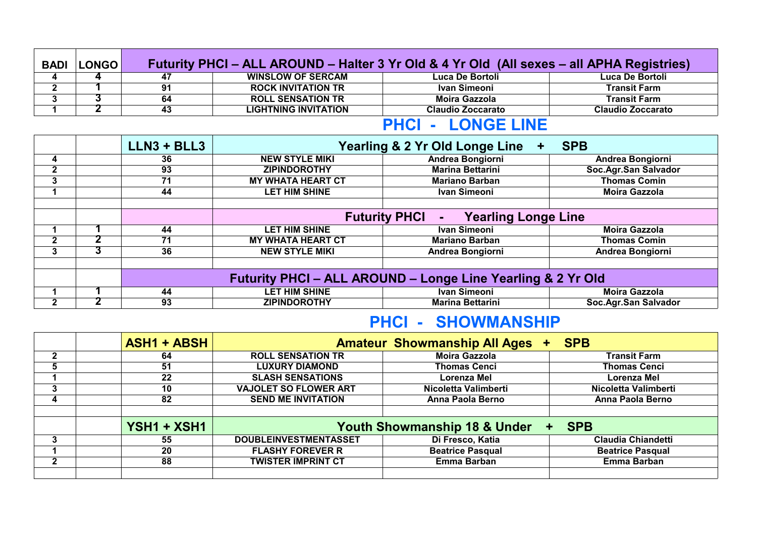| <b>BADI</b>              | <b>LONGO</b> | Futurity PHCI – ALL AROUND – Halter 3 Yr Old & 4 Yr Old (All sexes – all APHA Registries) |                             |                          |                          |  |
|--------------------------|--------------|-------------------------------------------------------------------------------------------|-----------------------------|--------------------------|--------------------------|--|
| 4                        |              | 47                                                                                        | <b>WINSLOW OF SERCAM</b>    | Luca De Bortoli          | Luca De Bortoli          |  |
| n                        |              | 91                                                                                        | <b>ROCK INVITATION TR</b>   | Ivan Simeoni             | <b>Transit Farm</b>      |  |
|                          |              | 64                                                                                        | <b>ROLL SENSATION TR</b>    | Moira Gazzola            | <b>Transit Farm</b>      |  |
|                          |              | 43                                                                                        | <b>LIGHTNING INVITATION</b> | <b>Claudio Zoccarato</b> | <b>Claudio Zoccarato</b> |  |
| <b>PHCI - LONGE LINE</b> |              |                                                                                           |                             |                          |                          |  |

|              | $LLN3 + BLL3$ |                          | Yearling & 2 Yr Old Longe Line                              | <b>SPB</b>           |
|--------------|---------------|--------------------------|-------------------------------------------------------------|----------------------|
| 4            | 36            | <b>NEW STYLE MIKI</b>    | Andrea Bongiorni                                            | Andrea Bongiorni     |
| $\mathbf{2}$ | 93            | <b>ZIPINDOROTHY</b>      | <b>Marina Bettarini</b>                                     | Soc.Agr.San Salvador |
| 3            | 71            | <b>MY WHATA HEART CT</b> | <b>Mariano Barban</b>                                       | <b>Thomas Comin</b>  |
|              | 44            | <b>LET HIM SHINE</b>     | Ivan Simeoni                                                | <b>Moira Gazzola</b> |
|              |               |                          |                                                             |                      |
|              |               |                          | <b>Futurity PHCI</b><br><b>Yearling Longe Line</b>          |                      |
|              | 44            | <b>LET HIM SHINE</b>     | <b>Ivan Simeoni</b>                                         | <b>Moira Gazzola</b> |
| $\mathbf{2}$ | 71            | <b>MY WHATA HEART CT</b> | <b>Mariano Barban</b>                                       | <b>Thomas Comin</b>  |
| 3            | 36            | <b>NEW STYLE MIKI</b>    | Andrea Bongiorni                                            | Andrea Bongiorni     |
|              |               |                          |                                                             |                      |
|              |               |                          | Futurity PHCI - ALL AROUND - Longe Line Yearling & 2 Yr Old |                      |
|              | 44            | <b>LET HIM SHINE</b>     | Ivan Simeoni                                                | <b>Moira Gazzola</b> |
| $\mathbf{2}$ | 93            | <b>ZIPINDOROTHY</b>      | <b>Marina Bettarini</b>                                     | Soc.Agr.San Salvador |

# **PHCI - SHOWMANSHIP**

|              | <b>ASH1 + ABSH</b> |                                                             | <b>Amateur Showmanship All Ages</b> | <b>SPB</b>                |  |
|--------------|--------------------|-------------------------------------------------------------|-------------------------------------|---------------------------|--|
| $\mathbf{2}$ | 64                 | <b>ROLL SENSATION TR</b>                                    | <b>Moira Gazzola</b>                | <b>Transit Farm</b>       |  |
| 5            | 51                 | <b>LUXURY DIAMOND</b>                                       | <b>Thomas Cenci</b>                 | <b>Thomas Cenci</b>       |  |
|              | 22                 | <b>SLASH SENSATIONS</b>                                     | Lorenza Mel                         | Lorenza Mel               |  |
| 3            | 10                 | <b>VAJOLET SO FLOWER ART</b>                                | Nicoletta Valimberti                | Nicoletta Valimberti      |  |
| 4            | 82                 | <b>SEND ME INVITATION</b>                                   | Anna Paola Berno                    | Anna Paola Berno          |  |
|              |                    |                                                             |                                     |                           |  |
|              | YSH1 + XSH1        | <b>Youth Showmanship 18 &amp; Under</b><br><b>SPB</b><br>÷. |                                     |                           |  |
| 3            | 55                 | <b>DOUBLEINVESTMENTASSET</b>                                | Di Fresco, Katia                    | <b>Claudia Chiandetti</b> |  |
|              | 20                 | <b>FLASHY FOREVER R</b>                                     | <b>Beatrice Pasqual</b>             | <b>Beatrice Pasqual</b>   |  |
| $\mathbf 2$  | 88                 | <b>TWISTER IMPRINT CT</b>                                   | <b>Emma Barban</b>                  | Emma Barban               |  |
|              |                    |                                                             |                                     |                           |  |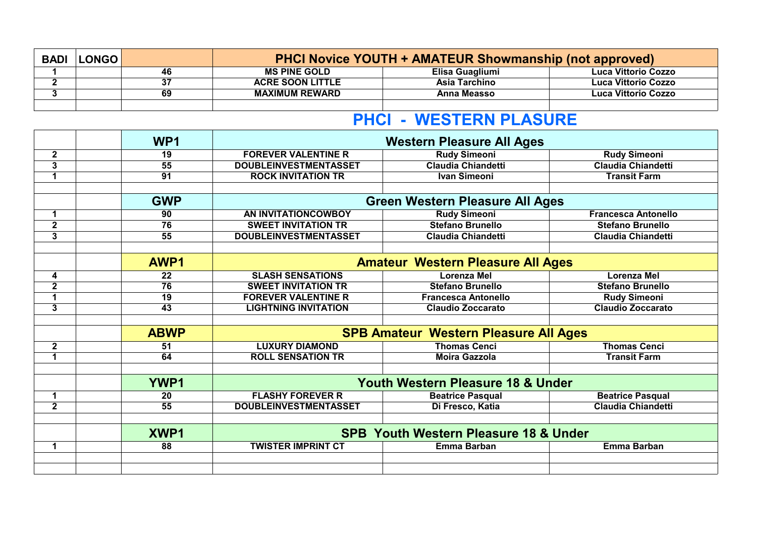| <b>BADI</b> | <b>LONGO</b> | <b>PHCI Novice YOUTH + AMATEUR Showmanship (not approved)</b> |                         |                    |                            |
|-------------|--------------|---------------------------------------------------------------|-------------------------|--------------------|----------------------------|
|             |              | 46                                                            | <b>MS PINE GOLD</b>     | Elisa Guagliumi    | <b>Luca Vittorio Cozzo</b> |
|             |              | 37                                                            | <b>ACRE SOON LITTLE</b> | Asia Tarchino      | Luca Vittorio Cozzo        |
|             |              | 69                                                            | <b>MAXIMUM REWARD</b>   | <b>Anna Measso</b> | Luca Vittorio Cozzo        |
|             |              |                                                               |                         |                    |                            |

# **PHCI - WESTERN PLASURE**

|                         | WP <sub>1</sub> | <b>Western Pleasure All Ages</b> |                                                  |                            |
|-------------------------|-----------------|----------------------------------|--------------------------------------------------|----------------------------|
| $\mathbf{2}$            | 19              | <b>FOREVER VALENTINE R</b>       | <b>Rudy Simeoni</b>                              | <b>Rudy Simeoni</b>        |
| $\overline{3}$          | $\overline{55}$ | <b>DOUBLEINVESTMENTASSET</b>     | <b>Claudia Chiandetti</b>                        | <b>Claudia Chiandetti</b>  |
| $\mathbf 1$             | $\overline{91}$ | <b>ROCK INVITATION TR</b>        | <b>Ivan Simeoni</b>                              | <b>Transit Farm</b>        |
|                         |                 |                                  |                                                  |                            |
|                         | <b>GWP</b>      |                                  | <b>Green Western Pleasure All Ages</b>           |                            |
| $\mathbf 1$             | 90              | AN INVITATIONCOWBOY              | <b>Rudy Simeoni</b>                              | <b>Francesca Antonello</b> |
| $\overline{\mathbf{2}}$ | 76              | <b>SWEET INVITATION TR</b>       | <b>Stefano Brunello</b>                          | <b>Stefano Brunello</b>    |
| 3                       | 55              | <b>DOUBLEINVESTMENTASSET</b>     | <b>Claudia Chiandetti</b>                        | <b>Claudia Chiandetti</b>  |
|                         |                 |                                  |                                                  |                            |
|                         | AWP1            |                                  | <b>Amateur Western Pleasure All Ages</b>         |                            |
| 4                       | 22              | <b>SLASH SENSATIONS</b>          | <b>Lorenza Mel</b>                               | <b>Lorenza Mel</b>         |
| $\overline{2}$          | 76              | <b>SWEET INVITATION TR</b>       | <b>Stefano Brunello</b>                          | <b>Stefano Brunello</b>    |
| $\overline{1}$          | $\overline{19}$ | <b>FOREVER VALENTINE R</b>       | <b>Francesca Antonello</b>                       | <b>Rudy Simeoni</b>        |
| 3                       | $\overline{43}$ | <b>LIGHTNING INVITATION</b>      | <b>Claudio Zoccarato</b>                         | <b>Claudio Zoccarato</b>   |
|                         |                 |                                  |                                                  |                            |
|                         | <b>ABWP</b>     |                                  | <b>SPB Amateur Western Pleasure All Ages</b>     |                            |
| $\mathbf{2}$            | 51              | <b>LUXURY DIAMOND</b>            | <b>Thomas Cenci</b>                              | <b>Thomas Cenci</b>        |
| 1                       | 64              | <b>ROLL SENSATION TR</b>         | <b>Moira Gazzola</b>                             | <b>Transit Farm</b>        |
|                         |                 |                                  |                                                  |                            |
|                         | <b>YWP1</b>     |                                  | Youth Western Pleasure 18 & Under                |                            |
| 1                       | 20              | <b>FLASHY FOREVER R</b>          | <b>Beatrice Pasqual</b>                          | <b>Beatrice Pasqual</b>    |
| $\mathbf{2}$            | 55              | <b>DOUBLEINVESTMENTASSET</b>     | Di Fresco, Katia                                 | <b>Claudia Chiandetti</b>  |
|                         |                 |                                  |                                                  |                            |
|                         | XWP1            |                                  | <b>SPB Youth Western Pleasure 18 &amp; Under</b> |                            |
| $\mathbf 1$             | 88              | <b>TWISTER IMPRINT CT</b>        | Emma Barban                                      | <b>Emma Barban</b>         |
|                         |                 |                                  |                                                  |                            |
|                         |                 |                                  |                                                  |                            |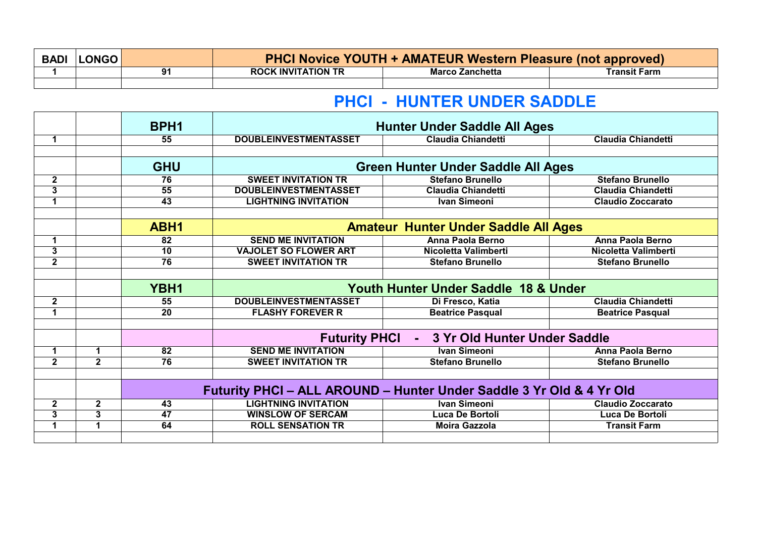| <b>BADI</b> | <b>LONGO</b> |    | <b>PHCI Novice YOUTH + AMATEUR Western Pleasure (not approved)</b> |                        |              |  |
|-------------|--------------|----|--------------------------------------------------------------------|------------------------|--------------|--|
|             |              | 91 | <b>ROCK INVITATION TR</b>                                          | <b>Marco Zanchetta</b> | Transit Farm |  |
|             |              |    |                                                                    |                        |              |  |

### **PHCI - HUNTER UNDER SADDLE**

|                         |                | BPH <sub>1</sub> | <b>Hunter Under Saddle All Ages</b>                                  |                                                 |                           |
|-------------------------|----------------|------------------|----------------------------------------------------------------------|-------------------------------------------------|---------------------------|
| $\mathbf 1$             |                | 55               | <b>DOUBLEINVESTMENTASSET</b>                                         | <b>Claudia Chiandetti</b>                       | <b>Claudia Chiandetti</b> |
|                         |                |                  |                                                                      |                                                 |                           |
|                         |                | <b>GHU</b>       |                                                                      | <b>Green Hunter Under Saddle All Ages</b>       |                           |
| $\mathbf{2}$            |                | 76               | <b>SWEET INVITATION TR</b>                                           | <b>Stefano Brunello</b>                         | <b>Stefano Brunello</b>   |
| 3                       |                | 55               | <b>DOUBLEINVESTMENTASSET</b>                                         | <b>Claudia Chiandetti</b>                       | <b>Claudia Chiandetti</b> |
| $\overline{1}$          |                | $\overline{43}$  | <b>LIGHTNING INVITATION</b>                                          | <b>Ivan Simeoni</b>                             | <b>Claudio Zoccarato</b>  |
|                         |                |                  |                                                                      |                                                 |                           |
|                         |                | ABH1             |                                                                      | <b>Amateur Hunter Under Saddle All Ages</b>     |                           |
| $\mathbf 1$             |                | 82               | <b>SEND ME INVITATION</b>                                            | Anna Paola Berno                                | <b>Anna Paola Berno</b>   |
| $\overline{\mathbf{3}}$ |                | $\overline{10}$  | <b>VAJOLET SO FLOWER ART</b>                                         | Nicoletta Valimberti                            | Nicoletta Valimberti      |
| $\overline{2}$          |                | 76               | <b>SWEET INVITATION TR</b>                                           | <b>Stefano Brunello</b>                         | <b>Stefano Brunello</b>   |
|                         |                |                  |                                                                      |                                                 |                           |
|                         |                |                  |                                                                      |                                                 |                           |
|                         |                | YBH1             |                                                                      | <b>Youth Hunter Under Saddle 18 &amp; Under</b> |                           |
| $\mathbf{2}$            |                | 55               | <b>DOUBLEINVESTMENTASSET</b>                                         | Di Fresco, Katia                                | <b>Claudia Chiandetti</b> |
| $\blacktriangleleft$    |                | 20               | <b>FLASHY FOREVER R</b>                                              | <b>Beatrice Pasqual</b>                         | <b>Beatrice Pasqual</b>   |
|                         |                |                  |                                                                      |                                                 |                           |
|                         |                |                  | <b>Futurity PHCI</b>                                                 | <b>3 Yr Old Hunter Under Saddle</b>             |                           |
| 1                       | 1              | 82               | <b>SEND ME INVITATION</b>                                            | <b>Ivan Simeoni</b>                             | <b>Anna Paola Berno</b>   |
| $\mathbf{2}$            | $\overline{2}$ | $\overline{76}$  | <b>SWEET INVITATION TR</b>                                           | <b>Stefano Brunello</b>                         | <b>Stefano Brunello</b>   |
|                         |                |                  |                                                                      |                                                 |                           |
|                         |                |                  | Futurity PHCI - ALL AROUND - Hunter Under Saddle 3 Yr Old & 4 Yr Old |                                                 |                           |
| $\mathbf 2$             | $\mathbf 2$    | 43               | <b>LIGHTNING INVITATION</b>                                          | <b>Ivan Simeoni</b>                             | <b>Claudio Zoccarato</b>  |
| 3                       | $\overline{3}$ | $\overline{47}$  | <b>WINSLOW OF SERCAM</b>                                             | <b>Luca De Bortoli</b>                          | Luca De Bortoli           |
| 1                       | 1              | 64               | <b>ROLL SENSATION TR</b>                                             | <b>Moira Gazzola</b>                            | <b>Transit Farm</b>       |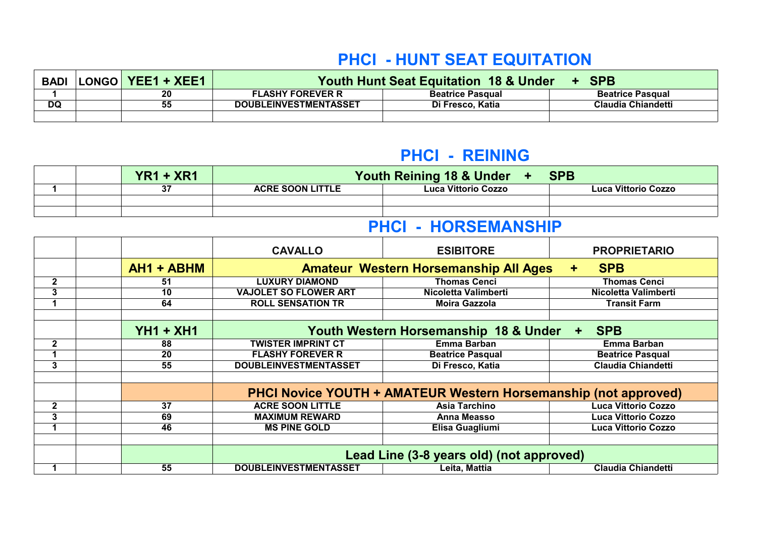# **PHCI - HUNT SEAT EQUITATION**

| BADI      | LONGO  YEE1 + XEE1 | <b>Youth Hunt Seat Equitation 18 &amp; Under</b><br>+ SPB |                         |                         |  |
|-----------|--------------------|-----------------------------------------------------------|-------------------------|-------------------------|--|
|           | 20                 | <b>FLASHY FOREVER R</b>                                   | <b>Beatrice Pasqual</b> | <b>Beatrice Pasqual</b> |  |
| <b>DQ</b> | 55                 | <b>DOUBLEINVESTMENTASSET</b>                              | Di Fresco, Katia        | Claudia Chiandetti      |  |
|           |                    |                                                           |                         |                         |  |

#### **PHCI - REINING**

|  | $YR1 + XR1$ |                         | Youth Reining 18 & Under + | <b>SPB</b>          |
|--|-------------|-------------------------|----------------------------|---------------------|
|  | 37          | <b>ACRE SOON LITTLE</b> | <b>Luca Vittorio Cozzo</b> | Luca Vittorio Cozzo |
|  |             |                         |                            |                     |
|  |             |                         |                            |                     |

# **PHCI - HORSEMANSHIP**

|              |             | <b>CAVALLO</b>               | <b>ESIBITORE</b>                                                | <b>PROPRIETARIO</b>                |
|--------------|-------------|------------------------------|-----------------------------------------------------------------|------------------------------------|
|              | AH1 + ABHM  |                              | <b>Amateur Western Horsemanship All Ages</b>                    | <b>SPB</b><br>÷                    |
| $\mathbf{2}$ | 51          | <b>LUXURY DIAMOND</b>        | <b>Thomas Cenci</b>                                             | <b>Thomas Cenci</b>                |
| 3            | 10          | <b>VAJOLET SO FLOWER ART</b> | Nicoletta Valimberti                                            | Nicoletta Valimberti               |
|              | 64          | <b>ROLL SENSATION TR</b>     | <b>Moira Gazzola</b>                                            | <b>Transit Farm</b>                |
|              |             |                              |                                                                 |                                    |
|              | $YH1 + XH1$ |                              | Youth Western Horsemanship 18 & Under                           | <b>SPB</b><br>$\ddot{\phantom{1}}$ |
| $\mathbf{2}$ | 88          | <b>TWISTER IMPRINT CT</b>    | Emma Barban                                                     | <b>Emma Barban</b>                 |
|              | 20          | <b>FLASHY FOREVER R</b>      | <b>Beatrice Pasqual</b>                                         | <b>Beatrice Pasqual</b>            |
| 3            | 55          | <b>DOUBLEINVESTMENTASSET</b> | Di Fresco, Katia                                                | <b>Claudia Chiandetti</b>          |
|              |             |                              |                                                                 |                                    |
|              |             |                              | PHCI Novice YOUTH + AMATEUR Western Horsemanship (not approved) |                                    |
| $\mathbf{2}$ | 37          | <b>ACRE SOON LITTLE</b>      | <b>Asia Tarchino</b>                                            | <b>Luca Vittorio Cozzo</b>         |
| 3            | 69          | <b>MAXIMUM REWARD</b>        | <b>Anna Measso</b>                                              | <b>Luca Vittorio Cozzo</b>         |
|              | 46          | <b>MS PINE GOLD</b>          | Elisa Guagliumi                                                 | <b>Luca Vittorio Cozzo</b>         |
|              |             |                              |                                                                 |                                    |
|              |             |                              | Lead Line (3-8 years old) (not approved)                        |                                    |
|              | 55          | <b>DOUBLEINVESTMENTASSET</b> | Leita, Mattia                                                   | <b>Claudia Chiandetti</b>          |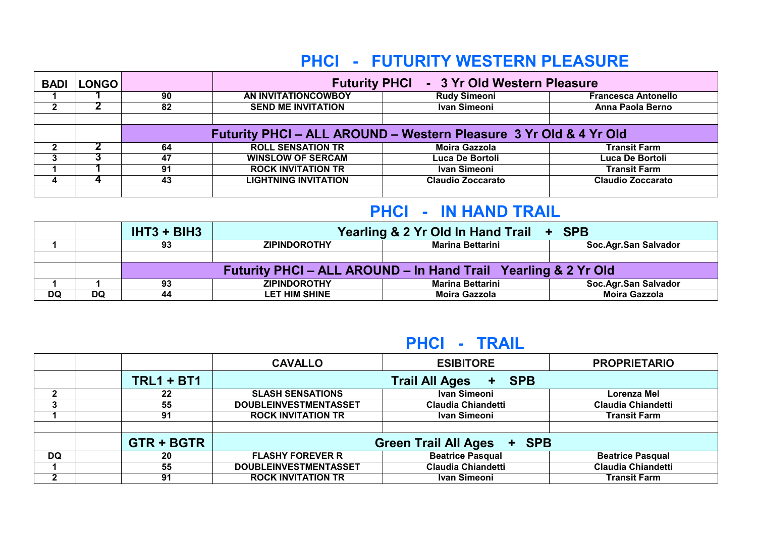# **PHCI - FUTURITY WESTERN PLEASURE**

| <b>BADI</b> | <b>LONGO</b> |                                                                   | Futurity PHCI - 3 Yr Old Western Pleasure |                          |                            |  |
|-------------|--------------|-------------------------------------------------------------------|-------------------------------------------|--------------------------|----------------------------|--|
|             |              | 90                                                                | AN INVITATIONCOWBOY                       | <b>Rudy Simeoni</b>      | <b>Francesca Antonello</b> |  |
|             |              | 82                                                                | <b>SEND ME INVITATION</b>                 | Ivan Simeoni             | Anna Paola Berno           |  |
|             |              |                                                                   |                                           |                          |                            |  |
|             |              | Futurity PHCI - ALL AROUND - Western Pleasure 3 Yr Old & 4 Yr Old |                                           |                          |                            |  |
|             |              | 64                                                                | <b>ROLL SENSATION TR</b>                  | Moira Gazzola            | <b>Transit Farm</b>        |  |
|             |              | 47                                                                | <b>WINSLOW OF SERCAM</b>                  | Luca De Bortoli          | Luca De Bortoli            |  |
|             |              | 91                                                                | <b>ROCK INVITATION TR</b>                 | Ivan Simeoni             | <b>Transit Farm</b>        |  |
|             |              | 43                                                                | <b>LIGHTNING INVITATION</b>               | <b>Claudio Zoccarato</b> | Claudio Zoccarato          |  |
|             |              |                                                                   |                                           |                          |                            |  |

# **PHCI - IN HAND TRAIL**

|           |    | $IHT3 + BIH3$                                                  | Yearling & 2 Yr Old In Hand Trail + SPB |                         |                      |  |
|-----------|----|----------------------------------------------------------------|-----------------------------------------|-------------------------|----------------------|--|
|           |    | 93                                                             | <b>ZIPINDOROTHY</b>                     | <b>Marina Bettarini</b> | Soc.Agr.San Salvador |  |
|           |    |                                                                |                                         |                         |                      |  |
|           |    | Futurity PHCI – ALL AROUND – In Hand Trail Yearling & 2 Yr Old |                                         |                         |                      |  |
|           |    | 93                                                             | <b>ZIPINDOROTHY</b>                     | <b>Marina Bettarini</b> | Soc.Agr.San Salvador |  |
| <b>DQ</b> | DQ | 44                                                             | LET HIM SHINE                           | <b>Moira Gazzola</b>    | <b>Moira Gazzola</b> |  |

### **PHCI - TRAIL**

|              |                   | <b>CAVALLO</b>                 | <b>ESIBITORE</b>          | <b>PROPRIETARIO</b>       |  |
|--------------|-------------------|--------------------------------|---------------------------|---------------------------|--|
|              | $TRL1 + BT1$      | + SPB<br><b>Trail All Ages</b> |                           |                           |  |
| $\mathbf{2}$ | 22                | <b>SLASH SENSATIONS</b>        | Ivan Simeoni              | Lorenza Mel               |  |
| 3            | 55                | <b>DOUBLEINVESTMENTASSET</b>   | <b>Claudia Chiandetti</b> | <b>Claudia Chiandetti</b> |  |
|              | 91                | <b>ROCK INVITATION TR</b>      | Ivan Simeoni              | <b>Transit Farm</b>       |  |
|              |                   |                                |                           |                           |  |
|              | <b>GTR + BGTR</b> | Green Trail All Ages + SPB     |                           |                           |  |
| DQ           | 20                | <b>FLASHY FOREVER R</b>        | <b>Beatrice Pasqual</b>   | <b>Beatrice Pasqual</b>   |  |
|              | 55                | <b>DOUBLEINVESTMENTASSET</b>   | <b>Claudia Chiandetti</b> | <b>Claudia Chiandetti</b> |  |
| っ            | 91                | <b>ROCK INVITATION TR</b>      | Ivan Simeoni              | <b>Transit Farm</b>       |  |